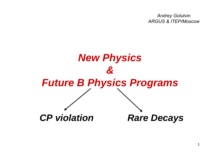*Andrey Golutvin ARGUS & ITEP/Moscow*

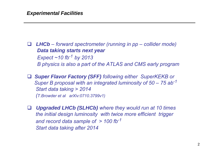$\Box$  *LHCb – forward spectrometer (running in pp – collider mode) Data taking starts next year Expect ~10 fb-<sup>1</sup> by 2013 B physics is also a part of the ATLAS and CMS early program*

 *Super Flavor Factory (SFF) following either SuperKEKB or Super B proposal with an integrated luminosity of 50 – 75 ab-<sup>1</sup> Start data taking > 2014 (T.Browder et al arXiv:0710.3799v1)*

 $\Box$  *Upgraded LHCb (SLHCb) where they would run at 10 times the initial design luminosity with twice more efficient trigger and record data sample of > 100 fb-<sup>1</sup> Start data taking after 2014*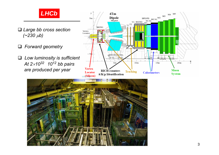

- *Large bb cross section (~230* μ*b)*
- *Forward geometry*
- *Low luminosity is sufficient At 2*×*1032 1012 bb pairs are produced per year*



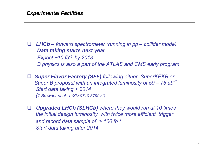$\Box$  *LHCb – forward spectrometer (running in pp – collider mode) Data taking starts next year Expect ~10 fb-<sup>1</sup> by 2013 B physics is also a part of the ATLAS and CMS early program*

 *Super Flavor Factory (SFF) following either SuperKEKB or Super B proposal with an integrated luminosity of 50 – 75 ab-<sup>1</sup> Start data taking > 2014 (T.Browder et al arXiv:0710.3799v1)*

 $\Box$  *Upgraded LHCb (SLHCb) where they would run at 10 times the initial design luminosity with twice more efficient trigger and record data sample of > 100 fb-<sup>1</sup> Start data taking after 2014*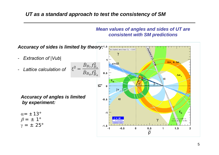#### *UT as a standard approach to test the consistency of SM*

#### *Mean values of angles and sides of UT are consistent with SM predictions*

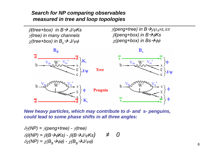#### *Search for NP comparing observables measured in tree and loop topologies*

β*(tree+box) in B* Æ *J/*ψ*Ks*  γ*(tree) in many channels*  $\chi$ (tree+box) in  $B_s$   $\rightarrow$  J/ $\psi\phi$ 

γ*(peng+tree) in B* Æρρ*,*ρπ*,*ππ β*(peng+box) in B* Æφ*Ks* χ(peng+box) in Bs*→*φφ



*New heavy particles, which may contribute to d- and s- penguins, could lead to some phase shifts in all three angles:*

$$
\delta\gamma(NP) = \gamma(\text{peng+tree}) - \gamma(\text{tree})
$$
  
\n
$$
\delta\beta(NP) = \beta(B \rightarrow \phi Ks) - \beta(B \rightarrow J/\psi Ks) \neq 0
$$
  
\n
$$
\delta\chi(NP) = \chi(B_s \rightarrow \phi\phi) - \chi(B_s \rightarrow J/\psi\phi)
$$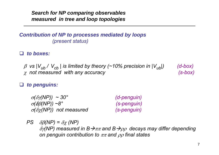*Search for NP comparing observables measured in tree and loop topologies* 

*Contribution of NP to processes mediated by loops (present status)*

 $\Box$ *to boxes:*

> β *vs |Vub / Vcb | is limited by theory (~10% precision in |Vub|) (d-box)* χ *not measured with any accuracy (s-box)*

 $\Box$ *to penguins:* 

| $\sigma(\delta \gamma(NP)) \sim 30^{\circ}$ | (d-penguin) |
|---------------------------------------------|-------------|
| $\sigma$ ( $\delta$ ß(NP)) ~8°              | (s-penguin) |
| $\sigma(\delta \chi(NP))$ not measured      | (s-penguin) |

*PS*  $\delta\beta(NP) = \delta\chi(NP)$ δγ*(NP) measured in B* Æππ *and B* Æρρ *decays may differ depending on penguin contribution to* ππ *and* ρρ *final states*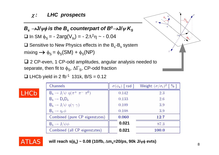$\bm{B}_{\mathrm{s}} \rightarrow$ J/ $\psi \phi$  is the  $\bm{B}_{\mathrm{s}}$  counterpart of  $\bm{B}^o {\rightarrow}$ J/ $\psi$   $\bm{\mathsf{K}}_{\mathrm{s}}$ 

 $\Box$  In SM φ<sub>S</sub> = - 2arg(V<sub>ts</sub>) = - 2Λ<sup>2</sup>η ~ - 0.04

 $\Box$  Sensitive to New Physics effects in the  $\mathsf{B}_{\mathrm{s}}\text{-}\mathsf{B}_{\mathrm{s}}$  system mixing  $\rightarrow \phi_s = \phi_s(SM) + \phi_s(NP)$ 

□ 2 CP-even, 1 CP-odd amplitudes, angular analysis needed to separate, then fit to  $\phi_{\rm S}$ ,  $\Delta\Gamma_{\rm S}$ , CP-odd fraction

 $\Box$  LHCb yield in 2 fb<sup>-1</sup> 131k, B/S = 0.12

| Channels                                          | $\sigma(\phi_s)$ [ rad ] | Weight $(\sigma/\sigma_i)^2$   % ] |
|---------------------------------------------------|--------------------------|------------------------------------|
| $B_s \rightarrow J/\psi \eta (\pi^+ \pi^- \pi^0)$ | 0.142                    | 2.3                                |
| $B_s \rightarrow D_s D_s$                         | 0.133                    | $2.6\,$                            |
| $B_s \rightarrow J/\psi \eta(\gamma \gamma)$      | 0.109                    | 3.9                                |
| $B_s \rightarrow \eta_c \phi$                     | 0.108                    | 3.9                                |
| Combined (pure CP eigenstates)                    | 0.060                    | 12.7                               |
| $B_s \rightarrow J/\psi \phi$                     | 0.021                    | 87.3                               |
| Combined (all CP eigenstates)                     | 0.021                    | 100.0                              |



LHCk

**will reach s(**φ**s) ~ 0.08 (10/fb,** <sup>Δ</sup>**ms=20/ps, 90k J/**ψφ **evts)**

 $\sqrt{\frac{A_0}{n}}$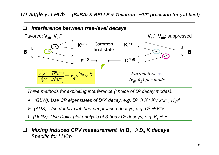*UT angle* γ *: LHCb (BaBAr & BELLE & Tevatron ~12° precision for* <sup>γ</sup> *at best)*



- $▶$  *(Dalitz): Use Dalitz plot analysis of 3-body D<sup>0</sup> decays, e.g. K<sub>s</sub> π<sup>+</sup> π<sup>-</sup>*
- $\Box$  $\Box$  *Mixing induced CPV measurement in*  $B_s \rightarrow D_s$  *K decays Specific for LHCb*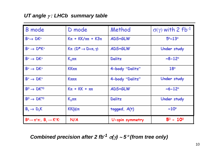### *UT angle* γ *: LHCb summary table*

| <b>B</b> mode                                           | D mode                           | Method          | $\sigma(\gamma)$ with 2 fb-1  |
|---------------------------------------------------------|----------------------------------|-----------------|-------------------------------|
| $B^*\rightarrow DK^*$                                   | $K\pi$ + $KK/\pi\pi$ + $K3\pi$   | ADS+GLW         | $5^{\circ} - 13^{\circ}$      |
| $B^* \rightarrow D^*K^*$                                | $K\pi$ (D <sup>*</sup> → D+π, γ) | ADS+GLW         | Under study                   |
| $B^+ \rightarrow DK^+$                                  | $\mathsf{K}_\leq$ ππ             | Dalitz          | $-8-12°$                      |
| $B^+ \rightarrow DK^+$                                  | KΚππ                             | 4-body "Dalitz" | 18°                           |
| $B^+ \rightarrow DK^+$                                  | Кливи                            | 4-body "Dalitz" | Under study                   |
| $B^0 \rightarrow DK^{*0}$                               | $K\pi + KK + \pi\pi$             | ADS+GLW         | $~12^{\circ}$                 |
| $B^0 \rightarrow DK^{*0}$                               | $\mathsf{K}_{\leq}$ ππ           | Dalitz          | Under study                   |
| $B_s \rightarrow D_s K$                                 | $KK(\phi)\pi$                    | tagged, $A(t)$  | $~10^{\circ}$                 |
| $B^0 \rightarrow \pi^+\pi^-$ , $B_c \rightarrow K^+K^-$ | N/A                              | U-spin symmetry | $5^{\circ}$ - 10 <sup>°</sup> |

*Combined precision after 2 fb-<sup>1</sup>* <sup>σ</sup>*(*γ*)*  ∼ *5* ° *(from tree only)*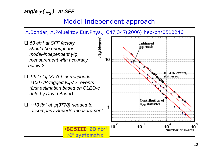## *angle*  γ *(*  <sup>ϕ</sup>*3 ) at SFF*

## *Model-independent approach*

*A.Bondar, A.Poluektov Eur.Phys.J C47,347(2006) hep-ph/0510246*

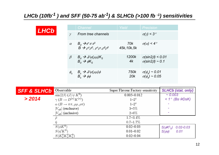## *LHCb (10fb-<sup>1</sup> ) and SFF (50-75 ab-1) & SLHCb (>100 fb -1) sensitivities*

| LHCb |          | Channel                                                                                                                                          | Yield               | <b>Precision</b>                                               |
|------|----------|--------------------------------------------------------------------------------------------------------------------------------------------------|---------------------|----------------------------------------------------------------|
|      | $\gamma$ | From tree channels                                                                                                                               |                     | $\sigma(\gamma)$ < 3°                                          |
|      |          | $\alpha$ $B_d$ $\rightarrow \pi^+ \pi \pi^0$<br>$\overrightarrow{B} \rightarrow \rho^{\dagger} \rho^0$ , $\rho^{\dagger} \rho$ , $\rho^0 \rho^0$ | 70k<br>45k, 10k, 5k | $\sigma(\alpha)$ < 4°                                          |
|      |          | $\beta$ $B_d$ $\rightarrow$ $J/\psi(\mu\mu)K_s$<br>$B_d$ $\rightarrow$ $\phi K_s$                                                                | 1200k<br>4k         | $\sigma(\sin 2\beta)$ < 0.01<br>$\sigma(\sin 2\beta) \sim 0.1$ |
|      |          | $\phi_s$ $B_s \rightarrow J/\psi(\mu\mu)\phi$<br>$B_s \rightarrow \phi\phi$                                                                      | 750k                | $\sigma(\phi_s) \sim 0.01$<br>20k $\sigma(\phi) \sim 0.05$     |

| <b>SFF &amp; SLHCb</b> | Observable                            | Super Flavour Factory sensitivity | <b>SLHCb (stat. only)</b>          |
|------------------------|---------------------------------------|-----------------------------------|------------------------------------|
|                        | $\sin(2\beta)$ $(J/\psi K^0)$         | $0.005 - 0.012$                   | $\sim 0.003$                       |
| > 2014                 | $\gamma(B \to D^{(*)}K^{(*)})$        | $1-2^\circ$                       | $< 1^\circ$ (Bs $\rightarrow$ DsK) |
|                        | $\alpha(B\to\pi\pi,\rho\rho,\rho\pi)$ | $1-2^\circ$                       |                                    |
|                        | $ V_{ub} $ (exclusive)                | $3 - 5\%$                         |                                    |
|                        | $ V_{ub} $ (inclusive)                | $2 - 6\%$                         |                                    |
|                        |                                       | $1.7 - 3.4\%$                     |                                    |
|                        |                                       | $0.7 - 1.7\%$                     |                                    |
|                        | $S(\phi K^0)$                         | $0.02 - 0.03$                     | $S(\phi K^0_S)$<br>$0.02 - 0.03$   |
|                        | $S(\eta^{\prime} K^{0})$              | $0.01 - 0.02$                     | $S(\phi\phi)$<br>0.01              |
|                        | $S(K_{s}^{0}K_{s}^{0}K_{s}^{0})$      | $0.02 - 0.04$                     |                                    |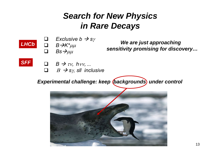# *Search for New Physics in Rare Decays*



 $\Box$ 

 $\Box$  *Exclusive b*  Æ *s*γ *B* Æ*K\**μμ

 $\Box$  *Bs* $\rightarrow \mu\mu$ 

*We are just approaching sensitivity promising for discovery…*



- $\Box$   $B \to \tau v$ , hvv, ...
- Β Æ *<sup>s</sup>*γ*, sll inclusive*

**Experimental challenge: keep (backgrounds) under control** 

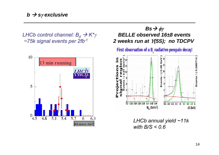*LHCb control channel: Β<sub>d</sub> → K\*γ ~75k signal events per 2fb-1*



## *Bs* → φγ *BELLE observed 16±8 events 2 weeks run at* Υ*(5S); no TDCPV*

First observation of a B radiative penguin decay!



*LHCb annual yield ~11k with B/S < 0.6*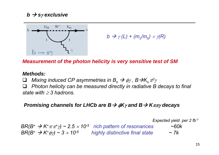*b → sγ* **exclusive** 



$$
b \rightarrow \gamma(L) + (m_s/m_b) \times \gamma(R)
$$

*Measurement of the photon helicity is very sensitive test of SM*

#### *Methods:*

 $\sqcup$  $\Box$  *Mixing induced CP asymmetries in B<sub>s</sub> →*  $\phi$ *γ, B→K<sub>s</sub> π<sup>0</sup>γ* 

 $\sqcup$ *Photon helicity can be measured directly in radiative B decays to final state with* ≥ *3 hadrons.*

#### *Promising channels for LHCb are B →*  $\phi$ *Kγ and B → Kππγ decays*

*Expected yield per 2 fb-1*

*BR(B+*  $\rightarrow$  *K+* $\pi \pi$ *+* $\gamma$ *) ~ 2.5*  $\times$  *10<sup>-5</sup> <i>rich pattern of resonances*  $\sim$  60k  $BR(B^+ \rightarrow K^+ \phi \gamma) \sim 3 \times 10^{-6}$  highly distinctive final state  $\sim 7k$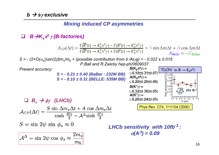### *Mixing induced CP asymmetries*

*B*Æ*Ks*π*<sup>0</sup>*<sup>γ</sup> *(B-factories)*

$$
A_{CP}(\Delta t) = \frac{\Gamma(\overline{B}^0(t) \to K_S^0 \pi^0 \gamma) - \Gamma(B^0(t) \to K_S^0 \pi^0 \gamma)}{\Gamma(\overline{B}^0(t) \to K_S^0 \pi^0 \gamma) + \Gamma(B^0(t) \to K_S^0 \pi^0 \gamma)} = S \sin \Delta m \Delta t + A \cos \Delta m \Delta t
$$
  
 
$$
A_{\text{Belle}} = -C_{\text{BaBar}}
$$

*S = - (2+O(*α*s))sin(2*β*)ms/mb + (possible contribution from b*Æ*s*γ*g) = - 0.022 ± 0.015 P.Ball and R.Zwicky hep-ph/0609037*

*Present accuracy:*



$$
\mathcal{A}_{CP}(\Delta t) = \frac{S \sin \Delta m_s \Delta t + A \cos \Delta m_s \Delta t}{\cosh \frac{\delta \Gamma t}{2} - A \Delta \sinh \frac{\delta \Gamma t}{2}}
$$

$$
LHCb\text{ sensitivity with }10\text{fb}^{-1}:
$$

$$
\sigma(A^{\Delta})=0.09
$$

$$
\boxed{{\cal A}^{\Delta} = \sin\,2\psi\,\cos\,\phi_s \approx \frac{2m_s}{m_b}}
$$

 $S = \sin 2\psi \sin \phi_s \approx 0$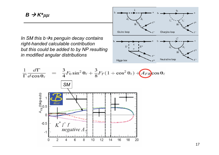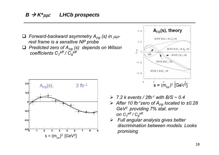*Forward-backward asymmetry AFB (s) in* μμ*rest frame is a sensitive NP probe*

 *Predicted zero of AFB (s) depends on Wilson coefficients*  $C_7^{eff}$  /  $C_9^{eff}$ 





- ¾ *7.2 k events / 2fb-1 with B/S ~ 0.4*
- ¾ *After 10 fb-1zero of AFB located to ±0.28 GeV2 providing 7% stat. error on*  $C_7^{eff}$  /  $C_9^{eff}$
- ¾ *Full angular analysis gives better discrimination between models. Lookspromising*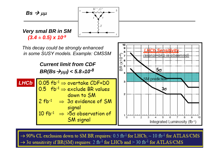

**SM** signal



1

1.

 $\overline{2}$ 

3

5

6

Integrated Luminosity (fb-1)

 $\overline{7}$ 

g.

 $\Omega$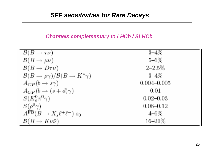#### *Channels complementary to LHCb / SLHCb*

| $\mathcal{B}(B\to\tau\nu)$                                     | $3 - 4\%$       |
|----------------------------------------------------------------|-----------------|
| $\mathcal{B}(B\to \mu\nu)$                                     | $5 - 6\%$       |
| $B(B \to D\tau\nu)$                                            | $2 - 2.5%$      |
| $\mathcal{B}(B \to \rho \gamma)/\mathcal{B}(B \to K^* \gamma)$ | $3 - 4\%$       |
| $A_{CP}(b \rightarrow s\gamma)$                                | $0.004 - 0.005$ |
| $A_{CP}(b \rightarrow (s+d)\gamma)$                            | 0.01            |
| $S(K^0_s \pi^0 \gamma)$                                        | $0.02 - 0.03$   |
| $S(\rho^0\gamma)$                                              | $0.08 - 0.12$   |
| $A^{FB}(B \to X_s \ell^+ \ell^-) s_0$                          | $4 - 6\%$       |
| $\mathcal{B}(B \to K \nu \bar{\nu})$                           | $16 - 20\%$     |